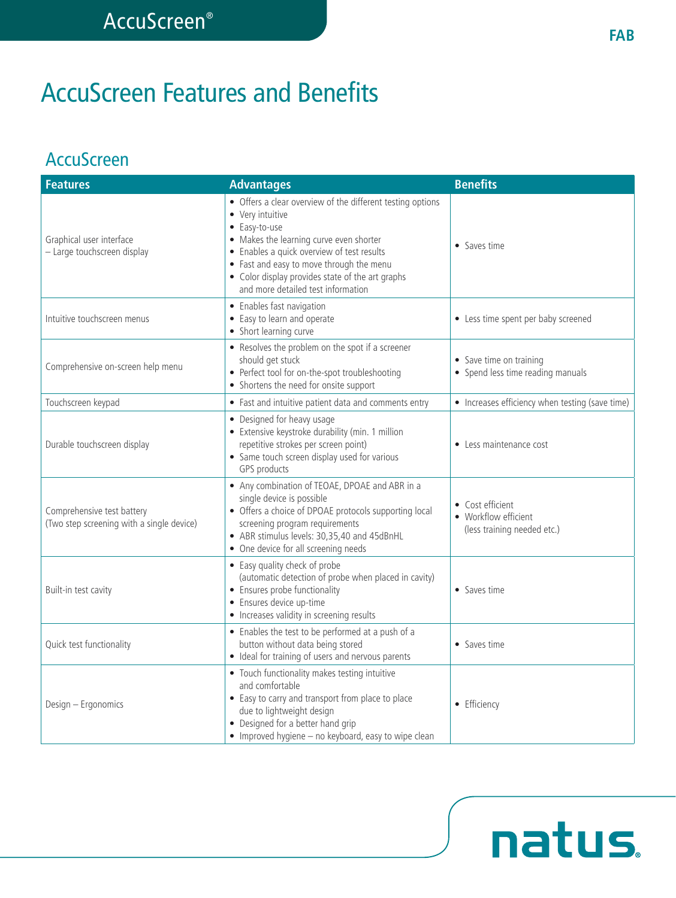# AccuScreen Features and Benefits

### **AccuScreen**

| <b>Features</b>                                                         | <b>Advantages</b>                                                                                                                                                                                                                                                                                                              | <b>Benefits</b>                                                         |
|-------------------------------------------------------------------------|--------------------------------------------------------------------------------------------------------------------------------------------------------------------------------------------------------------------------------------------------------------------------------------------------------------------------------|-------------------------------------------------------------------------|
| Graphical user interface<br>- Large touchscreen display                 | • Offers a clear overview of the different testing options<br>• Very intuitive<br>• Easy-to-use<br>• Makes the learning curve even shorter<br>• Enables a quick overview of test results<br>• Fast and easy to move through the menu<br>• Color display provides state of the art graphs<br>and more detailed test information | • Saves time                                                            |
| Intuitive touchscreen menus                                             | • Enables fast navigation<br>• Easy to learn and operate<br>• Short learning curve                                                                                                                                                                                                                                             | • Less time spent per baby screened                                     |
| Comprehensive on-screen help menu                                       | • Resolves the problem on the spot if a screener<br>should get stuck<br>• Perfect tool for on-the-spot troubleshooting<br>• Shortens the need for onsite support                                                                                                                                                               | • Save time on training<br>• Spend less time reading manuals            |
| Touchscreen keypad                                                      | • Fast and intuitive patient data and comments entry                                                                                                                                                                                                                                                                           | • Increases efficiency when testing (save time)                         |
| Durable touchscreen display                                             | • Designed for heavy usage<br>• Extensive keystroke durability (min. 1 million<br>repetitive strokes per screen point)<br>• Same touch screen display used for various<br>GPS products                                                                                                                                         | • Less maintenance cost                                                 |
| Comprehensive test battery<br>(Two step screening with a single device) | • Any combination of TEOAE, DPOAE and ABR in a<br>single device is possible<br>• Offers a choice of DPOAE protocols supporting local<br>screening program requirements<br>• ABR stimulus levels: 30,35,40 and 45dBnHL<br>• One device for all screening needs                                                                  | • Cost efficient<br>• Workflow efficient<br>(less training needed etc.) |
| Built-in test cavity                                                    | • Easy quality check of probe<br>(automatic detection of probe when placed in cavity)<br>• Ensures probe functionality<br>• Ensures device up-time<br>• Increases validity in screening results                                                                                                                                | • Saves time                                                            |
| Quick test functionality                                                | • Enables the test to be performed at a push of a<br>button without data being stored<br>• Ideal for training of users and nervous parents                                                                                                                                                                                     | • Saves time                                                            |
| Design - Ergonomics                                                     | • Touch functionality makes testing intuitive<br>and comfortable<br>• Easy to carry and transport from place to place<br>due to lightweight design<br>• Designed for a better hand grip<br>• Improved hygiene - no keyboard, easy to wipe clean                                                                                | • Efficiency                                                            |

natus.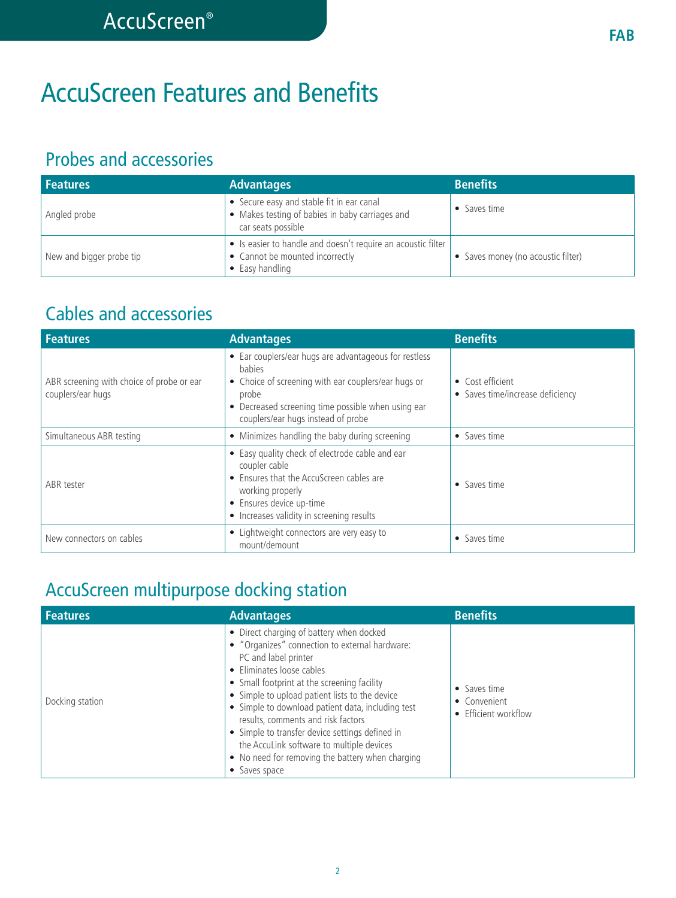# AccuScreen Features and Benefits

### Probes and accessories

| <b>Features</b>          | <b>Advantages</b>                                                                                                  | <b>Benefits</b>                    |
|--------------------------|--------------------------------------------------------------------------------------------------------------------|------------------------------------|
| Angled probe             | • Secure easy and stable fit in ear canal<br>• Makes testing of babies in baby carriages and<br>car seats possible | • Saves time                       |
| New and bigger probe tip | • Is easier to handle and doesn't require an acoustic filter<br>• Cannot be mounted incorrectly<br>• Easy handling | • Saves money (no acoustic filter) |

### Cables and accessories

| <b>Features</b>                                                | <b>Advantages</b>                                                                                                                                                                                                                  | <b>Benefits</b>                                      |
|----------------------------------------------------------------|------------------------------------------------------------------------------------------------------------------------------------------------------------------------------------------------------------------------------------|------------------------------------------------------|
| ABR screening with choice of probe or ear<br>couplers/ear hugs | • Ear couplers/ear hugs are advantageous for restless<br><b>babies</b><br>• Choice of screening with ear couplers/ear hugs or<br>probe<br>• Decreased screening time possible when using ear<br>couplers/ear hugs instead of probe | • Cost efficient<br>• Saves time/increase deficiency |
| Simultaneous ABR testing                                       | • Minimizes handling the baby during screening                                                                                                                                                                                     | • Saves time                                         |
| ABR tester                                                     | • Easy quality check of electrode cable and ear<br>coupler cable<br>• Ensures that the AccuScreen cables are<br>working properly<br>• Ensures device up-time<br>• Increases validity in screening results                          | • Saves time                                         |
| New connectors on cables                                       | • Lightweight connectors are very easy to<br>mount/demount                                                                                                                                                                         | • Saves time                                         |

### AccuScreen multipurpose docking station

| <b>Features</b> | <b>Advantages</b>                                                                                                                                                                                                                                                                                                                                                                                                                                                                                                | <b>Benefits</b>                                      |
|-----------------|------------------------------------------------------------------------------------------------------------------------------------------------------------------------------------------------------------------------------------------------------------------------------------------------------------------------------------------------------------------------------------------------------------------------------------------------------------------------------------------------------------------|------------------------------------------------------|
| Docking station | • Direct charging of battery when docked<br>• "Organizes" connection to external hardware:<br>PC and label printer<br>• Eliminates loose cables<br>• Small footprint at the screening facility<br>• Simple to upload patient lists to the device<br>• Simple to download patient data, including test<br>results, comments and risk factors<br>• Simple to transfer device settings defined in<br>the AccuLink software to multiple devices<br>• No need for removing the battery when charging<br>• Saves space | • Saves time<br>• Convenient<br>• Efficient workflow |